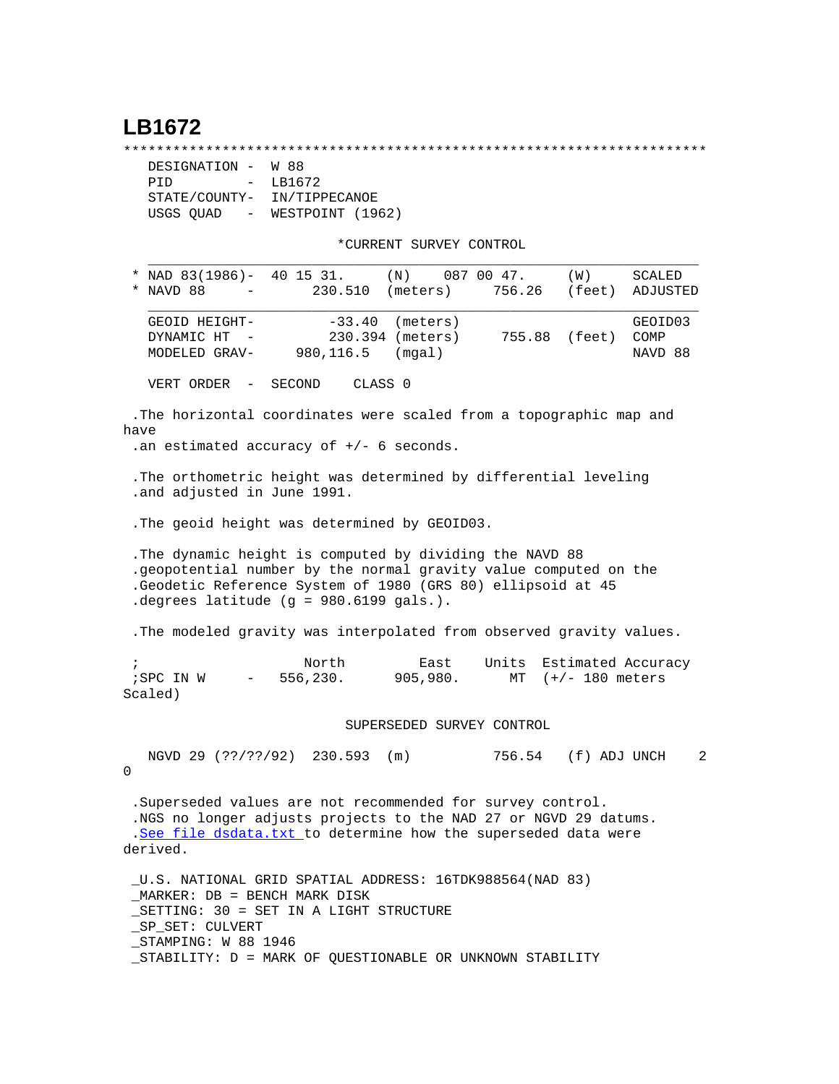## **LB1672**

\*\*\*\*\*\*\*\*\*\*\*\*\*\*\*\*\*\*\*\*\*\*\*\*\*\*\*\*\*\*\*\*\*\*\*\*\*\*\*\*\*\*\*\*\*\*\*\*\*\*\*\*\*\*\*\*\*\*\*\*\*\*\*\*\*\*\*\*\*\*\*

| DESIGNATION -                         | W 88             |  |  |
|---------------------------------------|------------------|--|--|
| PTD<br>$\sim$                         | LB1672           |  |  |
| STATE/COUNTY-                         | IN/TIPPECANOE    |  |  |
| USGS OUAD<br>$\alpha_{\rm{max}}=0.01$ | WESTPOINT (1962) |  |  |

\*CURRENT SURVEY CONTROL

| $\ast$     | NAVD 88                                                                 | $\sim$ | * NAD 83(1986)- 40 15 31.<br>230.510       | (N)<br>(meters)                                                                                                                                                                                   | 087 00 47.<br>756.26 | (W)                                        | SCALED<br>(feet) ADJUSTED  |
|------------|-------------------------------------------------------------------------|--------|--------------------------------------------|---------------------------------------------------------------------------------------------------------------------------------------------------------------------------------------------------|----------------------|--------------------------------------------|----------------------------|
|            | GEOID HEIGHT-<br>DYNAMIC HT -<br>MODELED GRAV-                          |        | 980,116.5                                  | $-33.40$ (meters)<br>230.394 (meters)<br>(mqal)                                                                                                                                                   |                      | 755.88 (feet)                              | GEOID03<br>COMP<br>NAVD 88 |
|            | VERT ORDER -                                                            |        | SECOND                                     | CLASS 0                                                                                                                                                                                           |                      |                                            |                            |
| have       |                                                                         |        | .an estimated accuracy of $+/-$ 6 seconds. | .The horizontal coordinates were scaled from a topographic map and                                                                                                                                |                      |                                            |                            |
|            | .and adjusted in June 1991.                                             |        |                                            | . The orthometric height was determined by differential leveling                                                                                                                                  |                      |                                            |                            |
|            |                                                                         |        |                                            | . The geoid height was determined by GEOID03.                                                                                                                                                     |                      |                                            |                            |
|            |                                                                         |        | . degrees latitude $(g = 980.6199$ gals.). | . The dynamic height is computed by dividing the NAVD 88<br>.geopotential number by the normal gravity value computed on the<br>.Geodetic Reference System of 1980 (GRS 80) ellipsoid at 45       |                      |                                            |                            |
|            |                                                                         |        |                                            | . The modeled gravity was interpolated from observed gravity values.                                                                                                                              |                      |                                            |                            |
| $\ddot{i}$ | ;SPC IN W<br>Scaled)                                                    |        | North<br>$-556,230.$                       | East<br>905,980.                                                                                                                                                                                  | Units                | Estimated Accuracy<br>MT $(+/- 180$ meters |                            |
|            | SUPERSEDED SURVEY CONTROL                                               |        |                                            |                                                                                                                                                                                                   |                      |                                            |                            |
| 0          |                                                                         |        | NGVD 29 (??/??/92) 230.593 (m)             |                                                                                                                                                                                                   |                      | 756.54 (f) ADJ UNCH                        | 2                          |
|            | derived.                                                                |        |                                            | . Superseded values are not recommended for survey control.<br>.NGS no longer adjusts projects to the NAD 27 or NGVD 29 datums.<br>.See file dsdata.txt to determine how the superseded data were |                      |                                            |                            |
|            | MARKER: DB = BENCH MARK DISK<br>_SP_SET: CULVERT<br>STAMPING: W 88 1946 |        | SETTING: 30 = SET IN A LIGHT STRUCTURE     | _U.S. NATIONAL GRID SPATIAL ADDRESS: 16TDK988564(NAD 83)                                                                                                                                          |                      |                                            |                            |

\_STABILITY: D = MARK OF QUESTIONABLE OR UNKNOWN STABILITY